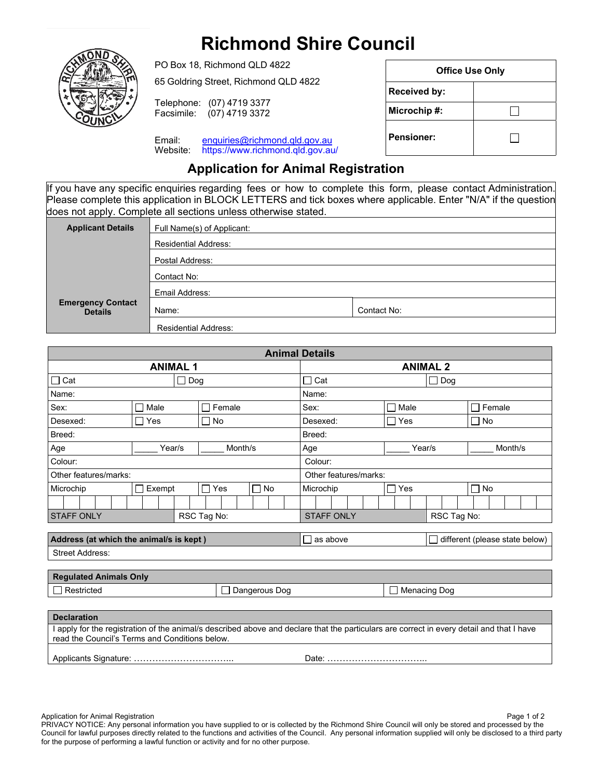## **Richmond Shire Council**



PO Box 18, Richmond QLD 4822 65 Goldring Street, Richmond QLD 4822 Telephone: (07) 4719 3377<br>Facsimile: (07) 4719 3372  $(07)$  4719 3372

Email: enquiries@richmond.qld.gov.au Website: https://www.richmond.qld.gov.au/

| <b>Office Use Only</b> |  |  |  |  |  |  |
|------------------------|--|--|--|--|--|--|
| <b>Received by:</b>    |  |  |  |  |  |  |
| Microchip#:            |  |  |  |  |  |  |
| <b>Pensioner:</b>      |  |  |  |  |  |  |

## **Application for Animal Registration**

If you have any specific enquiries regarding fees or how to complete this form, please contact Administration. Please complete this application in BLOCK LETTERS and tick boxes where applicable. Enter "N/A" if the question does not apply. Complete all sections unless otherwise stated.

| <b>Applicant Details</b>                   | Full Name(s) of Applicant:  |             |  |  |  |  |  |  |
|--------------------------------------------|-----------------------------|-------------|--|--|--|--|--|--|
|                                            | <b>Residential Address:</b> |             |  |  |  |  |  |  |
|                                            | Postal Address:             |             |  |  |  |  |  |  |
|                                            | Contact No:                 |             |  |  |  |  |  |  |
|                                            | Email Address:              |             |  |  |  |  |  |  |
| <b>Emergency Contact</b><br><b>Details</b> | Name:                       | Contact No: |  |  |  |  |  |  |
|                                            | <b>Residential Address:</b> |             |  |  |  |  |  |  |

| <b>Animal Details</b>                                                                                                                                                                       |              |                                 |                       |  |                     |                 |                   |                                  |  |  |  |                                |  |        |  |  |                 |  |         |  |  |  |  |
|---------------------------------------------------------------------------------------------------------------------------------------------------------------------------------------------|--------------|---------------------------------|-----------------------|--|---------------------|-----------------|-------------------|----------------------------------|--|--|--|--------------------------------|--|--------|--|--|-----------------|--|---------|--|--|--|--|
| <b>ANIMAL1</b>                                                                                                                                                                              |              |                                 |                       |  |                     | <b>ANIMAL 2</b> |                   |                                  |  |  |  |                                |  |        |  |  |                 |  |         |  |  |  |  |
| $\Box$ Cat                                                                                                                                                                                  |              | Dog<br>$\overline{\phantom{a}}$ |                       |  |                     |                 | $\Box$ Cat<br>Dog |                                  |  |  |  |                                |  |        |  |  |                 |  |         |  |  |  |  |
| Name:                                                                                                                                                                                       |              |                                 |                       |  |                     |                 |                   | Name:                            |  |  |  |                                |  |        |  |  |                 |  |         |  |  |  |  |
| Sex:                                                                                                                                                                                        | Male<br>l.   |                                 | Female<br>□           |  |                     |                 | Sex:              |                                  |  |  |  | Male                           |  |        |  |  | $\sqcap$ Female |  |         |  |  |  |  |
| Desexed:                                                                                                                                                                                    | $\sqcap$ Yes |                                 | ⊟ No                  |  |                     |                 | Desexed:          |                                  |  |  |  | $\Box$ Yes                     |  |        |  |  | $\Box$ No       |  |         |  |  |  |  |
| Breed:                                                                                                                                                                                      |              |                                 |                       |  |                     |                 |                   | Breed:                           |  |  |  |                                |  |        |  |  |                 |  |         |  |  |  |  |
| Age                                                                                                                                                                                         | Year/s       |                                 | Month/s               |  |                     |                 |                   | Age                              |  |  |  |                                |  | Year/s |  |  |                 |  | Month/s |  |  |  |  |
| Colour:                                                                                                                                                                                     |              |                                 |                       |  |                     |                 | Colour:           |                                  |  |  |  |                                |  |        |  |  |                 |  |         |  |  |  |  |
| Other features/marks:                                                                                                                                                                       |              |                                 |                       |  |                     |                 |                   | Other features/marks:            |  |  |  |                                |  |        |  |  |                 |  |         |  |  |  |  |
| Microchip                                                                                                                                                                                   | Exempt       |                                 | П<br>$\Box$ No<br>Yes |  |                     |                 | Microchip         |                                  |  |  |  | Yes                            |  |        |  |  | $\Box$ No       |  |         |  |  |  |  |
|                                                                                                                                                                                             |              |                                 |                       |  |                     |                 |                   |                                  |  |  |  |                                |  |        |  |  |                 |  |         |  |  |  |  |
| <b>STAFF ONLY</b>                                                                                                                                                                           |              |                                 | RSC Tag No:           |  |                     |                 |                   | <b>STAFF ONLY</b><br>RSC Tag No: |  |  |  |                                |  |        |  |  |                 |  |         |  |  |  |  |
|                                                                                                                                                                                             |              |                                 |                       |  |                     |                 |                   |                                  |  |  |  |                                |  |        |  |  |                 |  |         |  |  |  |  |
| Address (at which the animal/s is kept)                                                                                                                                                     |              |                                 |                       |  |                     | $\Box$ as above |                   |                                  |  |  |  | different (please state below) |  |        |  |  |                 |  |         |  |  |  |  |
| <b>Street Address:</b>                                                                                                                                                                      |              |                                 |                       |  |                     |                 |                   |                                  |  |  |  |                                |  |        |  |  |                 |  |         |  |  |  |  |
|                                                                                                                                                                                             |              |                                 |                       |  |                     |                 |                   |                                  |  |  |  |                                |  |        |  |  |                 |  |         |  |  |  |  |
| <b>Regulated Animals Only</b>                                                                                                                                                               |              |                                 |                       |  |                     |                 |                   |                                  |  |  |  |                                |  |        |  |  |                 |  |         |  |  |  |  |
| Dangerous Dog<br>Restricted                                                                                                                                                                 |              |                                 |                       |  | <b>Menacing Dog</b> |                 |                   |                                  |  |  |  |                                |  |        |  |  |                 |  |         |  |  |  |  |
|                                                                                                                                                                                             |              |                                 |                       |  |                     |                 |                   |                                  |  |  |  |                                |  |        |  |  |                 |  |         |  |  |  |  |
| <b>Declaration</b>                                                                                                                                                                          |              |                                 |                       |  |                     |                 |                   |                                  |  |  |  |                                |  |        |  |  |                 |  |         |  |  |  |  |
| I apply for the registration of the animal/s described above and declare that the particulars are correct in every detail and that I have<br>read the Council's Terms and Conditions below. |              |                                 |                       |  |                     |                 |                   |                                  |  |  |  |                                |  |        |  |  |                 |  |         |  |  |  |  |
|                                                                                                                                                                                             |              |                                 |                       |  |                     |                 |                   |                                  |  |  |  |                                |  |        |  |  |                 |  |         |  |  |  |  |